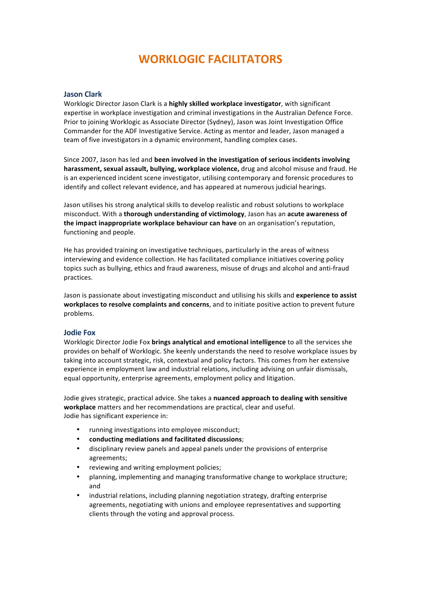# **WORKLOGIC FACILITATORS**

## **Jason Clark**

Worklogic Director Jason Clark is a **highly skilled workplace investigator**, with significant expertise in workplace investigation and criminal investigations in the Australian Defence Force. Prior to joining Worklogic as Associate Director (Sydney), Jason was Joint Investigation Office Commander for the ADF Investigative Service. Acting as mentor and leader, Jason managed a team of five investigators in a dynamic environment, handling complex cases.

Since 2007, Jason has led and **been involved in the investigation of serious incidents involving harassment, sexual assault, bullying, workplace violence,** drug and alcohol misuse and fraud. He is an experienced incident scene investigator, utilising contemporary and forensic procedures to identify and collect relevant evidence, and has appeared at numerous judicial hearings.

Jason utilises his strong analytical skills to develop realistic and robust solutions to workplace misconduct. With a **thorough understanding of victimology**, Jason has an **acute awareness of the impact inappropriate workplace behaviour can have** on an organisation's reputation, functioning and people.

He has provided training on investigative techniques, particularly in the areas of witness interviewing and evidence collection. He has facilitated compliance initiatives covering policy topics such as bullying, ethics and fraud awareness, misuse of drugs and alcohol and anti-fraud practices.

Jason is passionate about investigating misconduct and utilising his skills and **experience to assist** workplaces to resolve complaints and concerns, and to initiate positive action to prevent future problems.

#### **Jodie Fox**

Worklogic Director Jodie Fox **brings analytical and emotional intelligence** to all the services she provides on behalf of Worklogic. She keenly understands the need to resolve workplace issues by taking into account strategic, risk, contextual and policy factors. This comes from her extensive experience in employment law and industrial relations, including advising on unfair dismissals. equal opportunity, enterprise agreements, employment policy and litigation.

Jodie gives strategic, practical advice. She takes a nuanced approach to dealing with sensitive workplace matters and her recommendations are practical, clear and useful. Jodie has significant experience in:

- running investigations into employee misconduct;
- **conducting mediations and facilitated discussions**;
- disciplinary review panels and appeal panels under the provisions of enterprise agreements;
- reviewing and writing employment policies;
- planning, implementing and managing transformative change to workplace structure; and
- industrial relations, including planning negotiation strategy, drafting enterprise agreements, negotiating with unions and employee representatives and supporting clients through the voting and approval process.